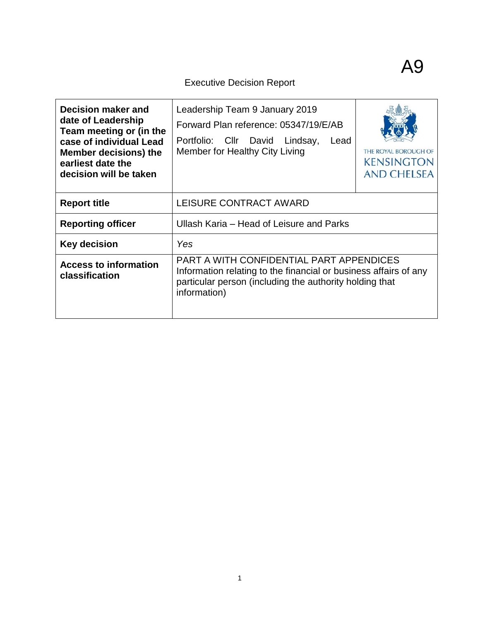# Executive Decision Report

| Decision maker and<br>date of Leadership<br>Team meeting or (in the<br>case of individual Lead<br><b>Member decisions) the</b><br>earliest date the<br>decision will be taken | Leadership Team 9 January 2019<br>Forward Plan reference: 05347/19/E/AB<br>Portfolio: Cllr David Lindsay,<br>Lead<br>Member for Healthy City Living                                     | THE ROYAL BOROUGH OF<br><b>KENSINGTON</b><br><b>AND CHELSEA</b> |  |
|-------------------------------------------------------------------------------------------------------------------------------------------------------------------------------|-----------------------------------------------------------------------------------------------------------------------------------------------------------------------------------------|-----------------------------------------------------------------|--|
| <b>Report title</b>                                                                                                                                                           | LEISURE CONTRACT AWARD                                                                                                                                                                  |                                                                 |  |
| <b>Reporting officer</b>                                                                                                                                                      | Ullash Karia – Head of Leisure and Parks                                                                                                                                                |                                                                 |  |
| Key decision                                                                                                                                                                  | Yes                                                                                                                                                                                     |                                                                 |  |
| <b>Access to information</b><br>classification                                                                                                                                | PART A WITH CONFIDENTIAL PART APPENDICES<br>Information relating to the financial or business affairs of any<br>particular person (including the authority holding that<br>information) |                                                                 |  |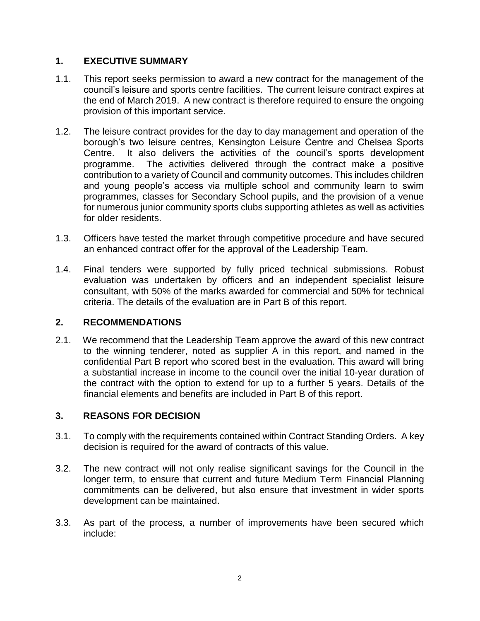# **1. EXECUTIVE SUMMARY**

- 1.1. This report seeks permission to award a new contract for the management of the council's leisure and sports centre facilities. The current leisure contract expires at the end of March 2019. A new contract is therefore required to ensure the ongoing provision of this important service.
- 1.2. The leisure contract provides for the day to day management and operation of the borough's two leisure centres, Kensington Leisure Centre and Chelsea Sports Centre. It also delivers the activities of the council's sports development programme. The activities delivered through the contract make a positive contribution to a variety of Council and community outcomes. This includes children and young people's access via multiple school and community learn to swim programmes, classes for Secondary School pupils, and the provision of a venue for numerous junior community sports clubs supporting athletes as well as activities for older residents.
- 1.3. Officers have tested the market through competitive procedure and have secured an enhanced contract offer for the approval of the Leadership Team.
- 1.4. Final tenders were supported by fully priced technical submissions. Robust evaluation was undertaken by officers and an independent specialist leisure consultant, with 50% of the marks awarded for commercial and 50% for technical criteria. The details of the evaluation are in Part B of this report.

# **2. RECOMMENDATIONS**

2.1. We recommend that the Leadership Team approve the award of this new contract to the winning tenderer, noted as supplier A in this report, and named in the confidential Part B report who scored best in the evaluation. This award will bring a substantial increase in income to the council over the initial 10-year duration of the contract with the option to extend for up to a further 5 years. Details of the financial elements and benefits are included in Part B of this report.

# **3. REASONS FOR DECISION**

- 3.1. To comply with the requirements contained within Contract Standing Orders. A key decision is required for the award of contracts of this value.
- 3.2. The new contract will not only realise significant savings for the Council in the longer term, to ensure that current and future Medium Term Financial Planning commitments can be delivered, but also ensure that investment in wider sports development can be maintained.
- 3.3. As part of the process, a number of improvements have been secured which include: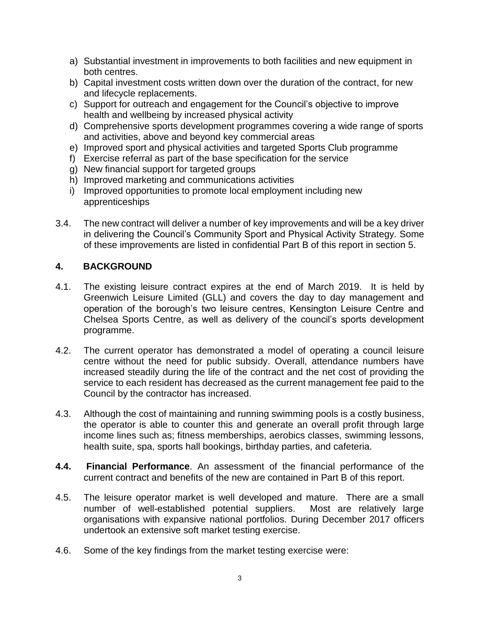- a) Substantial investment in improvements to both facilities and new equipment in both centres.
- b) Capital investment costs written down over the duration of the contract, for new and lifecycle replacements.
- c) Support for outreach and engagement for the Council's objective to improve health and wellbeing by increased physical activity
- d) Comprehensive sports development programmes covering a wide range of sports and activities, above and beyond key commercial areas
- e) Improved sport and physical activities and targeted Sports Club programme
- f) Exercise referral as part of the base specification for the service
- g) New financial support for targeted groups
- h) Improved marketing and communications activities
- i) Improved opportunities to promote local employment including new apprenticeships
- 3.4. The new contract will deliver a number of key improvements and will be a key driver in delivering the Council's Community Sport and Physical Activity Strategy. Some of these improvements are listed in confidential Part B of this report in section 5.

# **4. BACKGROUND**

- 4.1. The existing leisure contract expires at the end of March 2019. It is held by Greenwich Leisure Limited (GLL) and covers the day to day management and operation of the borough's two leisure centres, Kensington Leisure Centre and Chelsea Sports Centre, as well as delivery of the council's sports development programme.
- 4.2. The current operator has demonstrated a model of operating a council leisure centre without the need for public subsidy. Overall, attendance numbers have increased steadily during the life of the contract and the net cost of providing the service to each resident has decreased as the current management fee paid to the Council by the contractor has increased.
- 4.3. Although the cost of maintaining and running swimming pools is a costly business, the operator is able to counter this and generate an overall profit through large income lines such as; fitness memberships, aerobics classes, swimming lessons, health suite, spa, sports hall bookings, birthday parties, and cafeteria.
- **4.4. Financial Performance**. An assessment of the financial performance of the current contract and benefits of the new are contained in Part B of this report.
- 4.5. The leisure operator market is well developed and mature. There are a small number of well-established potential suppliers. Most are relatively large organisations with expansive national portfolios. During December 2017 officers undertook an extensive soft market testing exercise.
- 4.6. Some of the key findings from the market testing exercise were: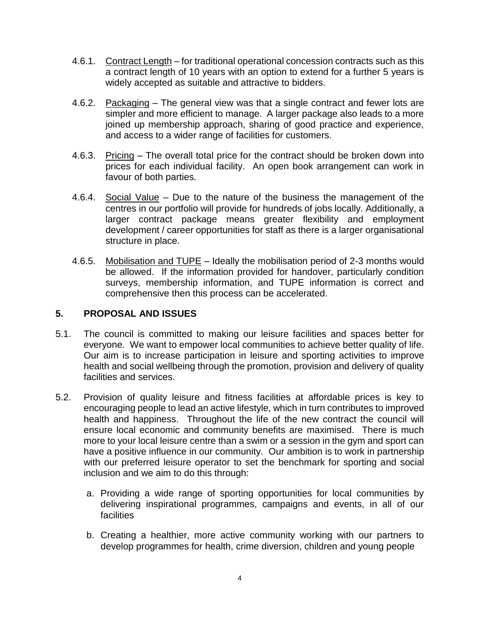- 4.6.1. Contract Length for traditional operational concession contracts such as this a contract length of 10 years with an option to extend for a further 5 years is widely accepted as suitable and attractive to bidders.
- 4.6.2. Packaging The general view was that a single contract and fewer lots are simpler and more efficient to manage. A larger package also leads to a more joined up membership approach, sharing of good practice and experience, and access to a wider range of facilities for customers.
- 4.6.3. Pricing The overall total price for the contract should be broken down into prices for each individual facility. An open book arrangement can work in favour of both parties.
- 4.6.4. Social Value Due to the nature of the business the management of the centres in our portfolio will provide for hundreds of jobs locally. Additionally, a larger contract package means greater flexibility and employment development / career opportunities for staff as there is a larger organisational structure in place.
- 4.6.5. Mobilisation and TUPE Ideally the mobilisation period of 2-3 months would be allowed. If the information provided for handover, particularly condition surveys, membership information, and TUPE information is correct and comprehensive then this process can be accelerated.

## **5. PROPOSAL AND ISSUES**

- 5.1. The council is committed to making our leisure facilities and spaces better for everyone. We want to empower local communities to achieve better quality of life. Our aim is to increase participation in leisure and sporting activities to improve health and social wellbeing through the promotion, provision and delivery of quality facilities and services.
- 5.2. Provision of quality leisure and fitness facilities at affordable prices is key to encouraging people to lead an active lifestyle, which in turn contributes to improved health and happiness. Throughout the life of the new contract the council will ensure local economic and community benefits are maximised. There is much more to your local leisure centre than a swim or a session in the gym and sport can have a positive influence in our community. Our ambition is to work in partnership with our preferred leisure operator to set the benchmark for sporting and social inclusion and we aim to do this through:
	- a. Providing a wide range of sporting opportunities for local communities by delivering inspirational programmes, campaigns and events, in all of our facilities
	- b. Creating a healthier, more active community working with our partners to develop programmes for health, crime diversion, children and young people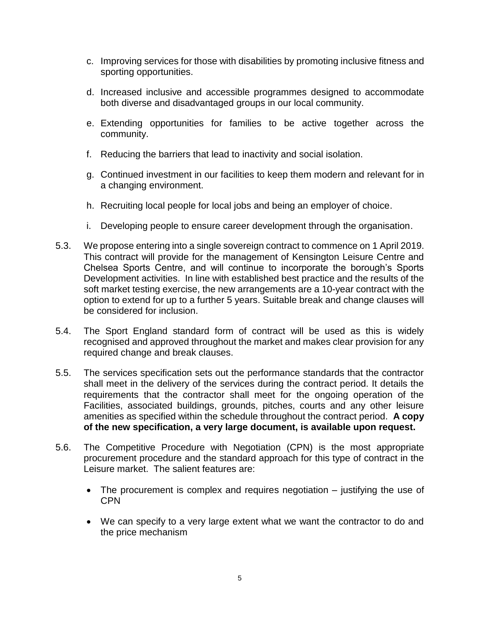- c. Improving services for those with disabilities by promoting inclusive fitness and sporting opportunities.
- d. Increased inclusive and accessible programmes designed to accommodate both diverse and disadvantaged groups in our local community.
- e. Extending opportunities for families to be active together across the community.
- f. Reducing the barriers that lead to inactivity and social isolation.
- g. Continued investment in our facilities to keep them modern and relevant for in a changing environment.
- h. Recruiting local people for local jobs and being an employer of choice.
- i. Developing people to ensure career development through the organisation.
- 5.3. We propose entering into a single sovereign contract to commence on 1 April 2019. This contract will provide for the management of Kensington Leisure Centre and Chelsea Sports Centre, and will continue to incorporate the borough's Sports Development activities. In line with established best practice and the results of the soft market testing exercise, the new arrangements are a 10-year contract with the option to extend for up to a further 5 years. Suitable break and change clauses will be considered for inclusion.
- 5.4. The Sport England standard form of contract will be used as this is widely recognised and approved throughout the market and makes clear provision for any required change and break clauses.
- 5.5. The services specification sets out the performance standards that the contractor shall meet in the delivery of the services during the contract period. It details the requirements that the contractor shall meet for the ongoing operation of the Facilities, associated buildings, grounds, pitches, courts and any other leisure amenities as specified within the schedule throughout the contract period. **A copy of the new specification, a very large document, is available upon request.**
- 5.6. The Competitive Procedure with Negotiation (CPN) is the most appropriate procurement procedure and the standard approach for this type of contract in the Leisure market. The salient features are:
	- The procurement is complex and requires negotiation justifying the use of **CPN**
	- We can specify to a very large extent what we want the contractor to do and the price mechanism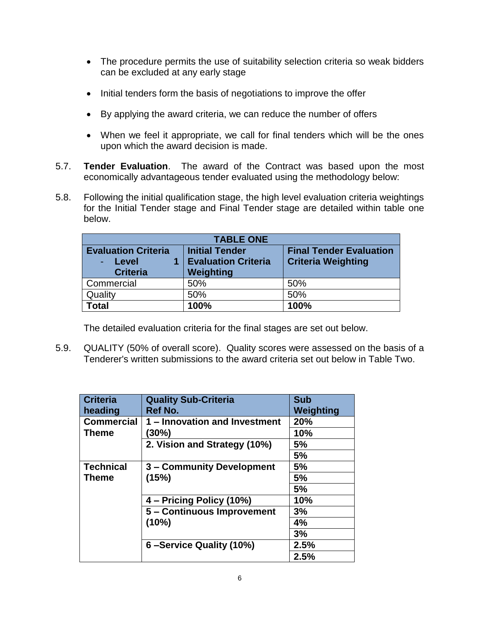- The procedure permits the use of suitability selection criteria so weak bidders can be excluded at any early stage
- Initial tenders form the basis of negotiations to improve the offer
- By applying the award criteria, we can reduce the number of offers
- When we feel it appropriate, we call for final tenders which will be the ones upon which the award decision is made.
- 5.7. **Tender Evaluation**. The award of the Contract was based upon the most economically advantageous tender evaluated using the methodology below:
- 5.8. Following the initial qualification stage, the high level evaluation criteria weightings for the Initial Tender stage and Final Tender stage are detailed within table one below.

| <b>TABLE ONE</b>                                         |                                                                  |                                                             |  |
|----------------------------------------------------------|------------------------------------------------------------------|-------------------------------------------------------------|--|
| <b>Evaluation Criteria</b><br>- Level<br><b>Criteria</b> | <b>Initial Tender</b><br><b>Evaluation Criteria</b><br>Weighting | <b>Final Tender Evaluation</b><br><b>Criteria Weighting</b> |  |
| Commercial                                               | 50%                                                              | 50%                                                         |  |
| Quality                                                  | 50%                                                              | 50%                                                         |  |
| <b>Total</b>                                             | 100%                                                             | 100%                                                        |  |

The detailed evaluation criteria for the final stages are set out below.

5.9. QUALITY (50% of overall score). Quality scores were assessed on the basis of a Tenderer's written submissions to the award criteria set out below in Table Two.

| <b>Criteria</b>   | <b>Quality Sub-Criteria</b>   | <b>Sub</b> |
|-------------------|-------------------------------|------------|
| heading           | Ref No.                       | Weighting  |
| <b>Commercial</b> | 1 – Innovation and Investment | 20%        |
| <b>Theme</b>      | $(30\%)$                      | 10%        |
|                   | 2. Vision and Strategy (10%)  | 5%         |
|                   |                               | 5%         |
| <b>Technical</b>  | 3 - Community Development     | 5%         |
| Theme             | (15%)                         | 5%         |
|                   |                               | 5%         |
|                   | 4 – Pricing Policy (10%)      | 10%        |
|                   | 5 - Continuous Improvement    | 3%         |
|                   | (10%)                         | 4%         |
|                   |                               | 3%         |
|                   | 6-Service Quality (10%)       | 2.5%       |
|                   |                               | 2.5%       |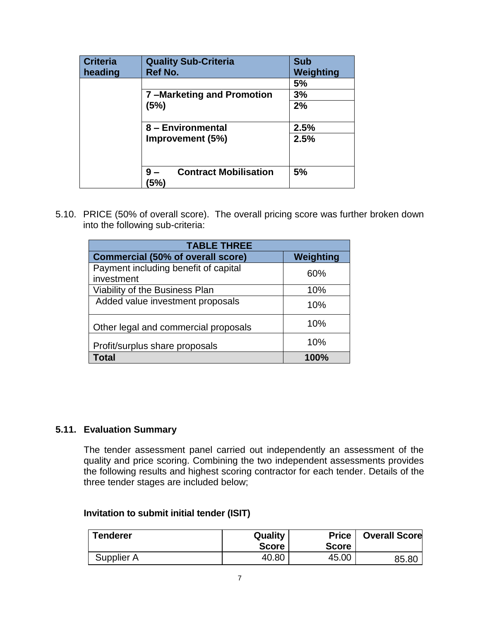| <b>Criteria</b><br>heading | <b>Quality Sub-Criteria</b><br>Ref No.    | <b>Sub</b><br>Weighting |
|----------------------------|-------------------------------------------|-------------------------|
|                            |                                           | 5%                      |
|                            | 7-Marketing and Promotion                 | 3%                      |
|                            | (5%)                                      | 2%                      |
|                            | 8 - Environmental                         | 2.5%                    |
|                            | Improvement (5%)                          | 2.5%                    |
|                            |                                           |                         |
|                            | <b>Contract Mobilisation</b><br>9<br>'5%) | 5%                      |

5.10. PRICE (50% of overall score). The overall pricing score was further broken down into the following sub-criteria:

| <b>TABLE THREE</b>                                 |           |  |  |
|----------------------------------------------------|-----------|--|--|
| <b>Commercial (50% of overall score)</b>           | Weighting |  |  |
| Payment including benefit of capital<br>investment | 60%       |  |  |
| Viability of the Business Plan                     | 10%       |  |  |
| Added value investment proposals                   | 10%       |  |  |
| Other legal and commercial proposals               | 10%       |  |  |
| Profit/surplus share proposals                     | 10%       |  |  |
| Total                                              | 100%      |  |  |

## **5.11. Evaluation Summary**

The tender assessment panel carried out independently an assessment of the quality and price scoring. Combining the two independent assessments provides the following results and highest scoring contractor for each tender. Details of the three tender stages are included below;

#### **Invitation to submit initial tender (ISIT)**

| <b>Tenderer</b> | Quality<br><b>Score</b> | <b>Price</b><br><b>Score</b> | <b>Overall Score</b> |
|-----------------|-------------------------|------------------------------|----------------------|
| Supplier A      | 40.80                   | 45.00                        | 85.80                |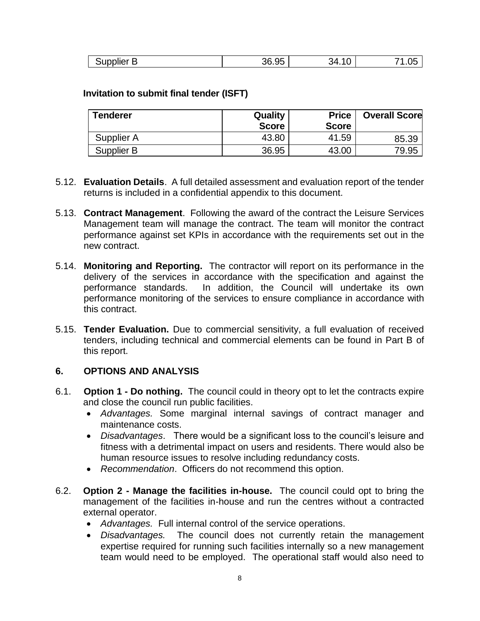| $\sim$ $\sim$ $\sim$<br>``<br>$-1$                  |     |    |  |
|-----------------------------------------------------|-----|----|--|
| ັບເ<br>טט.טע<br>ושוו<br>. .<br>• ~<br>. .<br>.<br>- | .3F | ≀∕ |  |

#### **Invitation to submit final tender (ISFT)**

| <b>Tenderer</b> | Quality<br><b>Score</b> | <b>Price</b><br><b>Score</b> | <b>Overall Score</b> |
|-----------------|-------------------------|------------------------------|----------------------|
| Supplier A      | 43.80                   | 41.59                        | 85.39                |
| Supplier B      | 36.95                   | 43.00                        | 79.95                |

- 5.12. **Evaluation Details**. A full detailed assessment and evaluation report of the tender returns is included in a confidential appendix to this document.
- 5.13. **Contract Management**. Following the award of the contract the Leisure Services Management team will manage the contract. The team will monitor the contract performance against set KPIs in accordance with the requirements set out in the new contract.
- 5.14. **Monitoring and Reporting.** The contractor will report on its performance in the delivery of the services in accordance with the specification and against the performance standards. In addition, the Council will undertake its own performance monitoring of the services to ensure compliance in accordance with this contract.
- 5.15. **Tender Evaluation.** Due to commercial sensitivity, a full evaluation of received tenders, including technical and commercial elements can be found in Part B of this report.

#### **6. OPTIONS AND ANALYSIS**

- 6.1. **Option 1 - Do nothing.** The council could in theory opt to let the contracts expire and close the council run public facilities.
	- *Advantages.* Some marginal internal savings of contract manager and maintenance costs.
	- *Disadvantages*. There would be a significant loss to the council's leisure and fitness with a detrimental impact on users and residents. There would also be human resource issues to resolve including redundancy costs.
	- *Recommendation*. Officers do not recommend this option.
- 6.2. **Option 2 - Manage the facilities in-house.** The council could opt to bring the management of the facilities in-house and run the centres without a contracted external operator.
	- *Advantages.* Full internal control of the service operations.
	- *Disadvantages.* The council does not currently retain the management expertise required for running such facilities internally so a new management team would need to be employed. The operational staff would also need to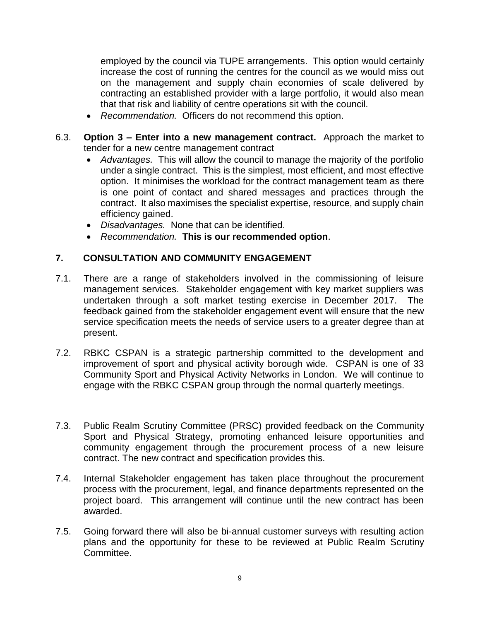employed by the council via TUPE arrangements. This option would certainly increase the cost of running the centres for the council as we would miss out on the management and supply chain economies of scale delivered by contracting an established provider with a large portfolio, it would also mean that that risk and liability of centre operations sit with the council.

- *Recommendation.* Officers do not recommend this option.
- 6.3. **Option 3 – Enter into a new management contract.** Approach the market to tender for a new centre management contract
	- *Advantages.* This will allow the council to manage the majority of the portfolio under a single contract. This is the simplest, most efficient, and most effective option. It minimises the workload for the contract management team as there is one point of contact and shared messages and practices through the contract. It also maximises the specialist expertise, resource, and supply chain efficiency gained.
	- *Disadvantages.* None that can be identified.
	- *Recommendation.* **This is our recommended option**.

# **7. CONSULTATION AND COMMUNITY ENGAGEMENT**

- 7.1. There are a range of stakeholders involved in the commissioning of leisure management services. Stakeholder engagement with key market suppliers was undertaken through a soft market testing exercise in December 2017. The feedback gained from the stakeholder engagement event will ensure that the new service specification meets the needs of service users to a greater degree than at present.
- 7.2. RBKC CSPAN is a strategic partnership committed to the development and improvement of sport and physical activity borough wide. CSPAN is one of 33 Community Sport and Physical Activity Networks in London. We will continue to engage with the RBKC CSPAN group through the normal quarterly meetings.
- 7.3. Public Realm Scrutiny Committee (PRSC) provided feedback on the Community Sport and Physical Strategy, promoting enhanced leisure opportunities and community engagement through the procurement process of a new leisure contract. The new contract and specification provides this.
- 7.4. Internal Stakeholder engagement has taken place throughout the procurement process with the procurement, legal, and finance departments represented on the project board. This arrangement will continue until the new contract has been awarded.
- 7.5. Going forward there will also be bi-annual customer surveys with resulting action plans and the opportunity for these to be reviewed at Public Realm Scrutiny Committee.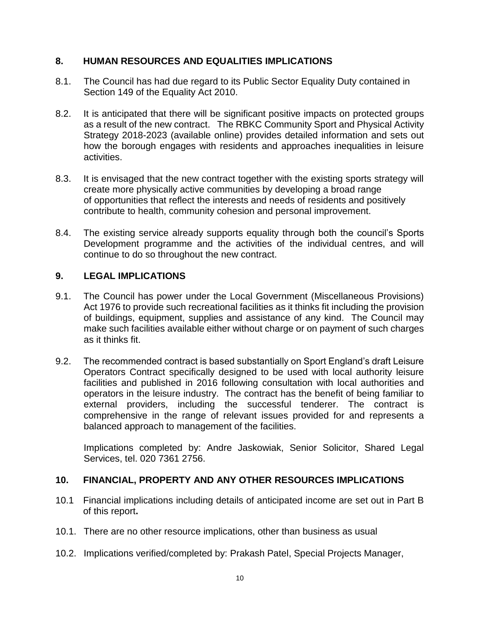## **8. HUMAN RESOURCES AND EQUALITIES IMPLICATIONS**

- 8.1. The Council has had due regard to its Public Sector Equality Duty contained in Section 149 of the Equality Act 2010.
- 8.2. It is anticipated that there will be significant positive impacts on protected groups as a result of the new contract. The RBKC Community Sport and Physical Activity Strategy 2018-2023 (available online) provides detailed information and sets out how the borough engages with residents and approaches inequalities in leisure activities.
- 8.3. It is envisaged that the new contract together with the existing sports strategy will create more physically active communities by developing a broad range of opportunities that reflect the interests and needs of residents and positively contribute to health, community cohesion and personal improvement.
- 8.4. The existing service already supports equality through both the council's Sports Development programme and the activities of the individual centres, and will continue to do so throughout the new contract.

## **9. LEGAL IMPLICATIONS**

- 9.1. The Council has power under the Local Government (Miscellaneous Provisions) Act 1976 to provide such recreational facilities as it thinks fit including the provision of buildings, equipment, supplies and assistance of any kind. The Council may make such facilities available either without charge or on payment of such charges as it thinks fit.
- 9.2. The recommended contract is based substantially on Sport England's draft Leisure Operators Contract specifically designed to be used with local authority leisure facilities and published in 2016 following consultation with local authorities and operators in the leisure industry. The contract has the benefit of being familiar to external providers, including the successful tenderer. The contract is comprehensive in the range of relevant issues provided for and represents a balanced approach to management of the facilities.

Implications completed by: Andre Jaskowiak, Senior Solicitor, Shared Legal Services, tel. 020 7361 2756.

#### **10. FINANCIAL, PROPERTY AND ANY OTHER RESOURCES IMPLICATIONS**

- 10.1 Financial implications including details of anticipated income are set out in Part B of this report**.**
- 10.1. There are no other resource implications, other than business as usual
- 10.2. Implications verified/completed by: Prakash Patel, Special Projects Manager,